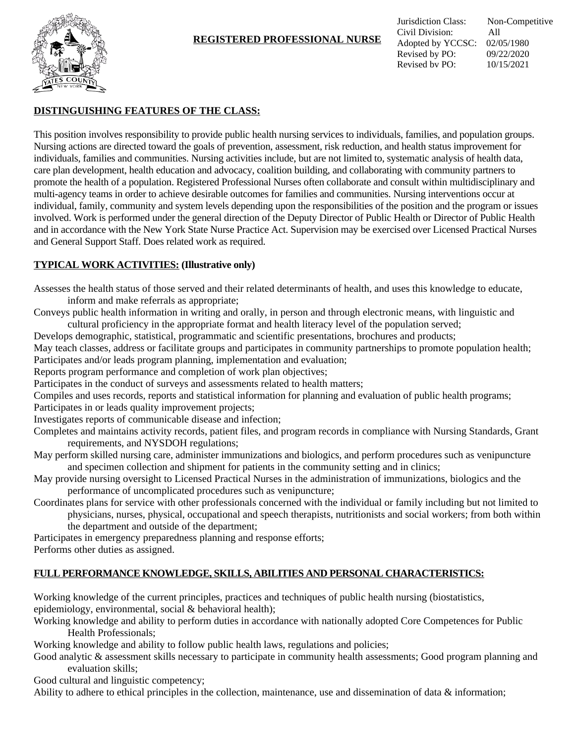

# **REGISTERED PROFESSIONAL NURSE**

# **DISTINGUISHING FEATURES OF THE CLASS:**

This position involves responsibility to provide public health nursing services to individuals, families, and population groups. Nursing actions are directed toward the goals of prevention, assessment, risk reduction, and health status improvement for individuals, families and communities. Nursing activities include, but are not limited to, systematic analysis of health data, care plan development, health education and advocacy, coalition building, and collaborating with community partners to promote the health of a population. Registered Professional Nurses often collaborate and consult within multidisciplinary and multi-agency teams in order to achieve desirable outcomes for families and communities. Nursing interventions occur at individual, family, community and system levels depending upon the responsibilities of the position and the program or issues involved. Work is performed under the general direction of the Deputy Director of Public Health or Director of Public Health and in accordance with the New York State Nurse Practice Act. Supervision may be exercised over Licensed Practical Nurses and General Support Staff. Does related work as required.

### **TYPICAL WORK ACTIVITIES: (Illustrative only)**

Assesses the health status of those served and their related determinants of health, and uses this knowledge to educate,

inform and make referrals as appropriate;

Conveys public health information in writing and orally, in person and through electronic means, with linguistic and cultural proficiency in the appropriate format and health literacy level of the population served;

Develops demographic, statistical, programmatic and scientific presentations, brochures and products;

May teach classes, address or facilitate groups and participates in community partnerships to promote population health; Participates and/or leads program planning, implementation and evaluation;

Reports program performance and completion of work plan objectives;

Participates in the conduct of surveys and assessments related to health matters;

Compiles and uses records, reports and statistical information for planning and evaluation of public health programs; Participates in or leads quality improvement projects;

Investigates reports of communicable disease and infection;

Completes and maintains activity records, patient files, and program records in compliance with Nursing Standards, Grant requirements, and NYSDOH regulations;

May perform skilled nursing care, administer immunizations and biologics, and perform procedures such as venipuncture and specimen collection and shipment for patients in the community setting and in clinics;

May provide nursing oversight to Licensed Practical Nurses in the administration of immunizations, biologics and the performance of uncomplicated procedures such as venipuncture;

Coordinates plans for service with other professionals concerned with the individual or family including but not limited to physicians, nurses, physical, occupational and speech therapists, nutritionists and social workers; from both within

the department and outside of the department;

Participates in emergency preparedness planning and response efforts; Performs other duties as assigned.

### **FULL PERFORMANCE KNOWLEDGE, SKILLS, ABILITIES AND PERSONAL CHARACTERISTICS:**

Working knowledge of the current principles, practices and techniques of public health nursing (biostatistics, epidemiology, environmental, social & behavioral health);

Working knowledge and ability to perform duties in accordance with nationally adopted Core Competences for Public Health Professionals;

Working knowledge and ability to follow public health laws, regulations and policies;

Good analytic & assessment skills necessary to participate in community health assessments; Good program planning and evaluation skills;

Good cultural and linguistic competency;

Ability to adhere to ethical principles in the collection, maintenance, use and dissemination of data  $\&$  information;